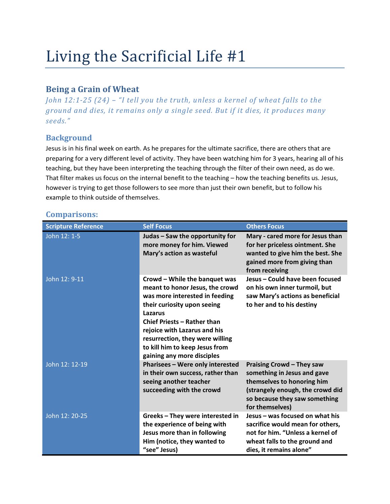# Living the Sacrificial Life #1

## Being a Grain of Wheat

John 12:1-25 (24) – "I tell you the truth, unless a kernel of wheat falls to the ground and dies, it remains only a single seed. But if it dies, it produces many seeds."

## **Background**

Jesus is in his final week on earth. As he prepares for the ultimate sacrifice, there are others that are preparing for a very different level of activity. They have been watching him for 3 years, hearing all of his teaching, but they have been interpreting the teaching through the filter of their own need, as do we. That filter makes us focus on the internal benefit to the teaching – how the teaching benefits us. Jesus, however is trying to get those followers to see more than just their own benefit, but to follow his example to think outside of themselves.

| <b>Scripture Reference</b> | <b>Self Focus</b>                                                                                                                                                                                                                                                                                                     | <b>Others Focus</b>                                                                                                                                                                   |
|----------------------------|-----------------------------------------------------------------------------------------------------------------------------------------------------------------------------------------------------------------------------------------------------------------------------------------------------------------------|---------------------------------------------------------------------------------------------------------------------------------------------------------------------------------------|
| John 12: 1-5               | Judas - Saw the opportunity for<br>more money for him. Viewed<br>Mary's action as wasteful                                                                                                                                                                                                                            | Mary - cared more for Jesus than<br>for her priceless ointment. She<br>wanted to give him the best. She<br>gained more from giving than<br>from receiving                             |
| John 12: 9-11              | Crowd - While the banquet was<br>meant to honor Jesus, the crowd<br>was more interested in feeding<br>their curiosity upon seeing<br>Lazarus<br><b>Chief Priests - Rather than</b><br>rejoice with Lazarus and his<br>resurrection, they were willing<br>to kill him to keep Jesus from<br>gaining any more disciples | Jesus - Could have been focused<br>on his own inner turmoil, but<br>saw Mary's actions as beneficial<br>to her and to his destiny                                                     |
| John 12: 12-19             | Pharisees - Were only interested<br>in their own success, rather than<br>seeing another teacher<br>succeeding with the crowd                                                                                                                                                                                          | <b>Praising Crowd - They saw</b><br>something in Jesus and gave<br>themselves to honoring him<br>(strangely enough, the crowd did<br>so because they saw something<br>for themselves) |
| John 12: 20-25             | Greeks - They were interested in<br>the experience of being with<br>Jesus more than in following<br>Him (notice, they wanted to<br>"see" Jesus)                                                                                                                                                                       | Jesus - was focused on what his<br>sacrifice would mean for others,<br>not for him. "Unless a kernel of<br>wheat falls to the ground and<br>dies, it remains alone"                   |

## Comparisons: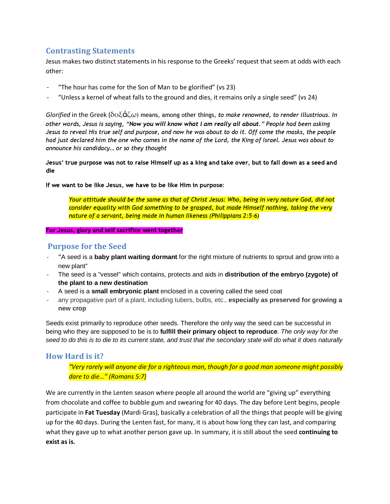#### Contrasting Statements

Jesus makes two distinct statements in his response to the Greeks' request that seem at odds with each other:

- "The hour has come for the Son of Man to be glorified" (vs 23)
- "Unless a kernel of wheat falls to the ground and dies, it remains only a single seed" (vs 24)

Glorified in the Greek ( $\delta o \xi d\zeta \omega$ ) means, among other things, to make renowned, to render illustrious. In other words, Jesus is saying, "Now you will know what I am really all about." People had been asking Jesus to reveal His true self and purpose, and now he was about to do it. Off come the masks, the people had just declared him the one who comes in the name of the Lord, the King of Israel. Jesus was about to announce his candidacy… or so they thought

Jesus' true purpose was not to raise Himself up as a king and take over, but to fall down as a seed and die

If we want to be like Jesus, we have to be like Him in purpose:

Your attitude should be the same as that of Christ Jesus: Who, being in very nature God, did not consider equality with God something to be grasped, but made Himself nothing, taking the very nature of a servant, being made in human likeness (Philippians 2:5-6)

For Jesus, glory and self sacrifice went together

#### Purpose for the Seed

- "A seed is a **baby plant waiting dormant** for the right mixture of nutrients to sprout and grow into a new plant"
- The seed is a "vessel" which contains, protects and aids in **distribution of the embryo (zygote) of the plant to a new destination**
- A seed is a **small embryonic plant** enclosed in a covering called the seed coat
- any propagative part of a plant, including tubers, bulbs, etc., **especially as preserved for growing a new crop**

Seeds exist primarily to reproduce other seeds. Therefore the only way the seed can be successful in being who they are supposed to be is to **fulfill their primary object to reproduce**. The only way for the seed to do this is to die to its current state, and trust that the secondary state will do what it does naturally

#### How Hard is it?

"Very rarely will anyone die for a righteous man, though for a good man someone might possibly dare to die…" (Romans 5:7)

We are currently in the Lenten season where people all around the world are "giving up" everything from chocolate and coffee to bubble gum and swearing for 40 days. The day before Lent begins, people participate in Fat Tuesday (Mardi Gras), basically a celebration of all the things that people will be giving up for the 40 days. During the Lenten fast, for many, it is about how long they can last, and comparing what they gave up to what another person gave up. In summary, it is still about the seed continuing to exist as is.